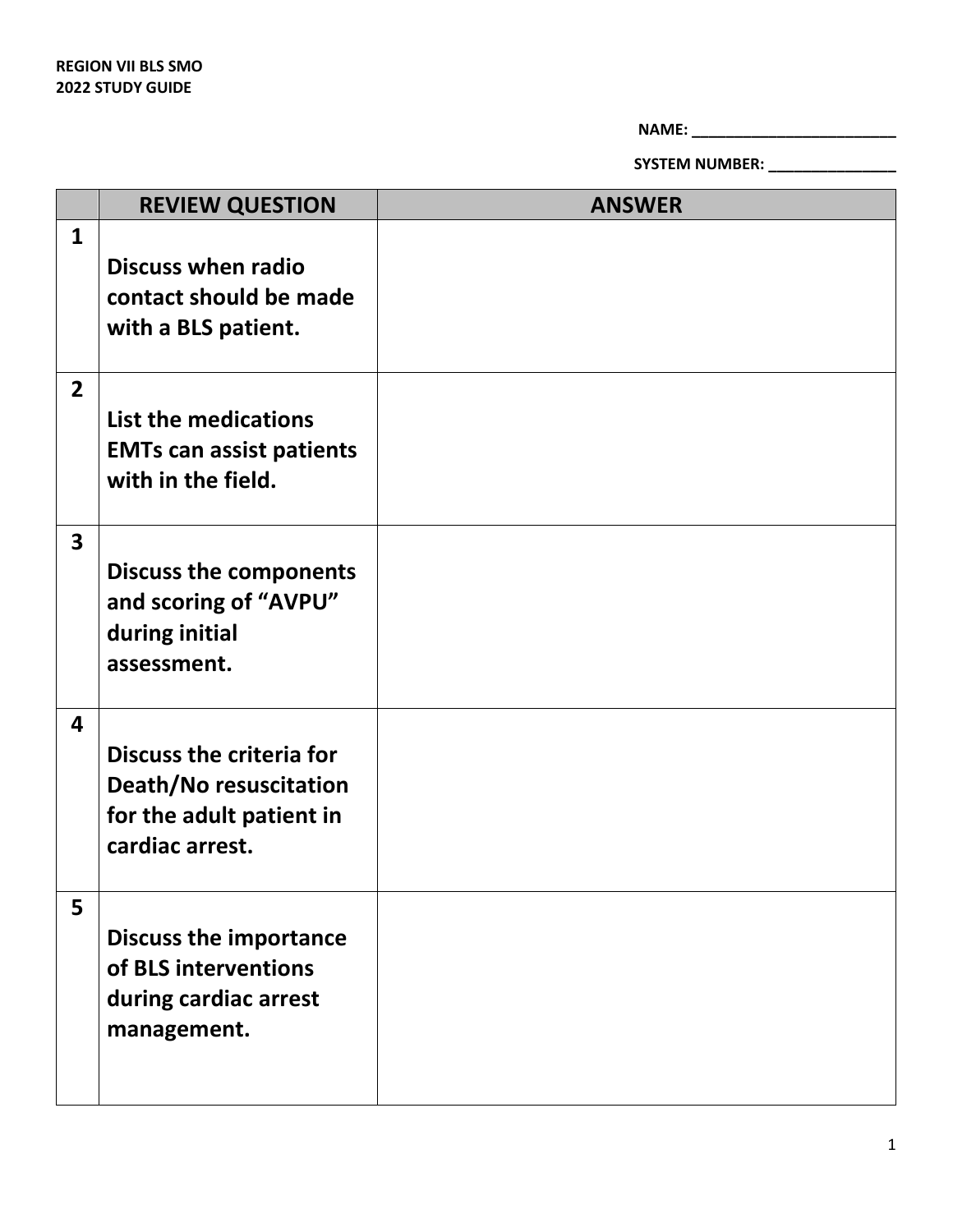**NAME: \_\_\_\_\_\_\_\_\_\_\_\_\_\_\_\_\_\_\_\_\_\_\_\_**

**SYSTEM NUMBER: \_\_\_\_\_\_\_\_\_\_\_\_\_\_\_**

|                         | <b>REVIEW QUESTION</b>                                                                            | <b>ANSWER</b> |
|-------------------------|---------------------------------------------------------------------------------------------------|---------------|
| $\mathbf{1}$            | <b>Discuss when radio</b><br>contact should be made<br>with a BLS patient.                        |               |
| $\overline{2}$          | List the medications<br><b>EMTs can assist patients</b><br>with in the field.                     |               |
| $\overline{\mathbf{3}}$ | <b>Discuss the components</b><br>and scoring of "AVPU"<br>during initial<br>assessment.           |               |
| 4                       | Discuss the criteria for<br>Death/No resuscitation<br>for the adult patient in<br>cardiac arrest. |               |
| 5                       | <b>Discuss the importance</b><br>of BLS interventions<br>during cardiac arrest<br>management.     |               |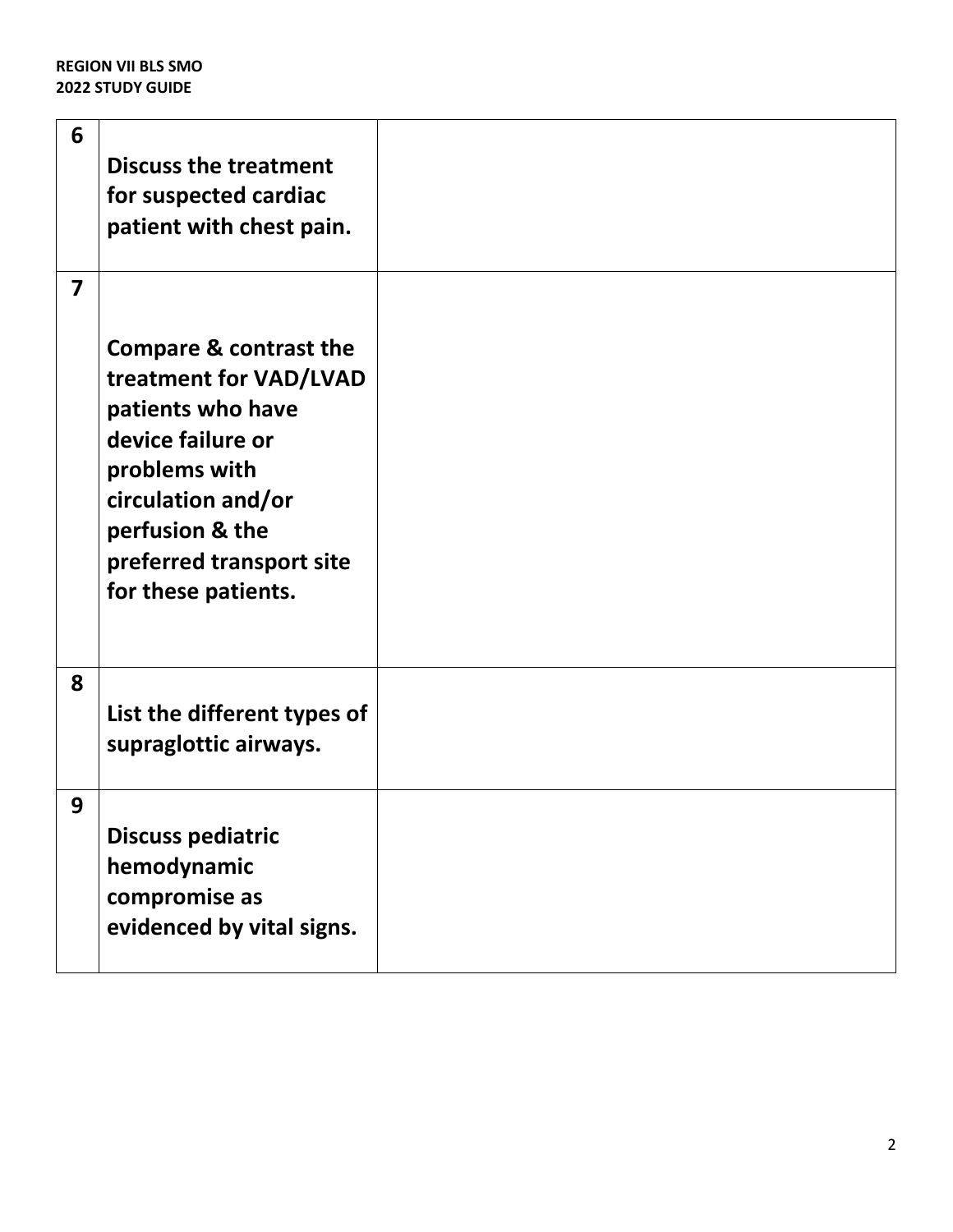| 6                       | <b>Discuss the treatment</b><br>for suspected cardiac<br>patient with chest pain.                                                                                                                                  |  |
|-------------------------|--------------------------------------------------------------------------------------------------------------------------------------------------------------------------------------------------------------------|--|
| $\overline{\mathbf{z}}$ | <b>Compare &amp; contrast the</b><br>treatment for VAD/LVAD<br>patients who have<br>device failure or<br>problems with<br>circulation and/or<br>perfusion & the<br>preferred transport site<br>for these patients. |  |
| 8                       | List the different types of<br>supraglottic airways.                                                                                                                                                               |  |
| 9                       | <b>Discuss pediatric</b><br>hemodynamic<br>compromise as<br>evidenced by vital signs.                                                                                                                              |  |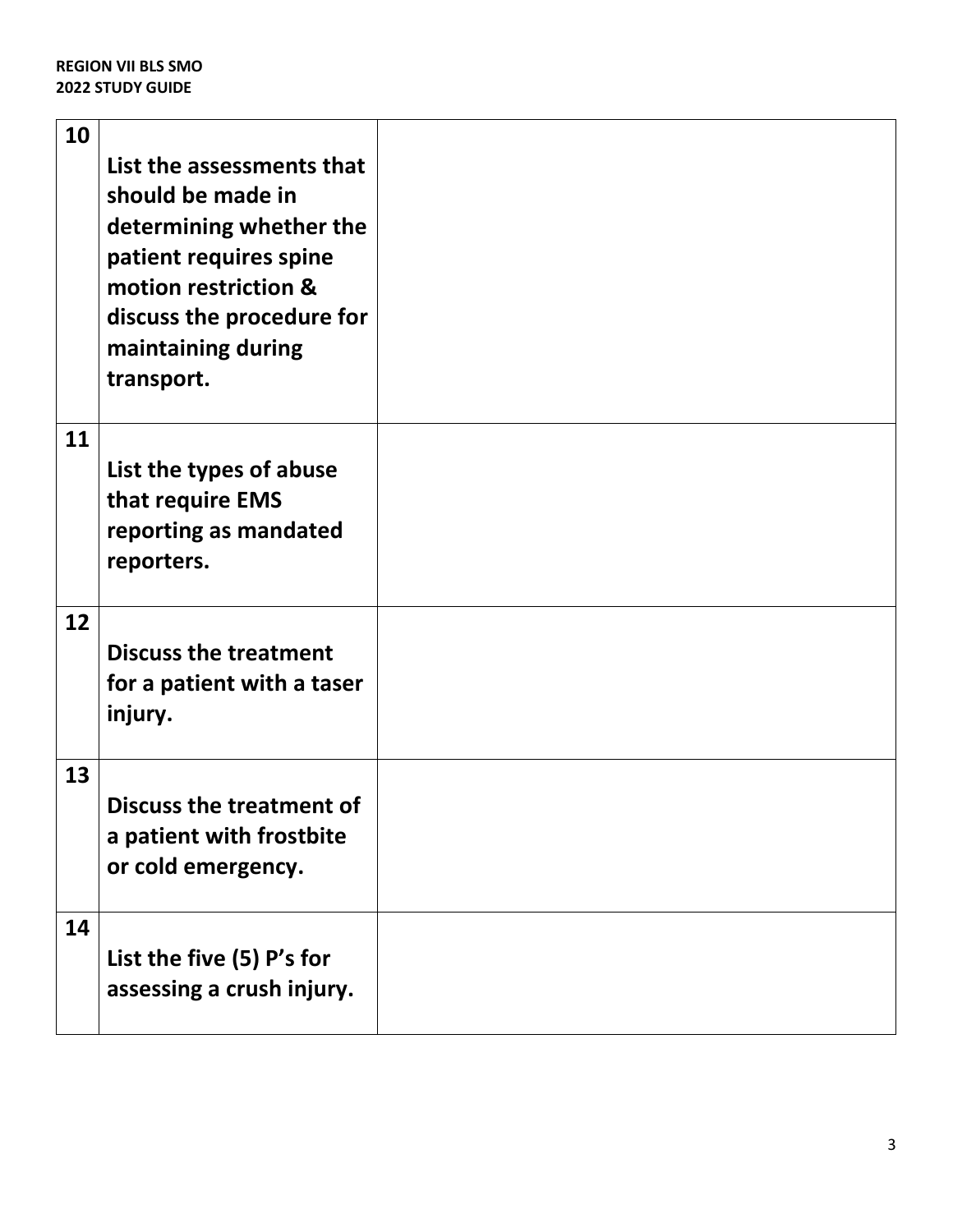| 10 | List the assessments that<br>should be made in<br>determining whether the<br>patient requires spine<br>motion restriction &<br>discuss the procedure for<br>maintaining during<br>transport. |  |
|----|----------------------------------------------------------------------------------------------------------------------------------------------------------------------------------------------|--|
| 11 | List the types of abuse<br>that require EMS<br>reporting as mandated<br>reporters.                                                                                                           |  |
| 12 | <b>Discuss the treatment</b><br>for a patient with a taser<br>injury.                                                                                                                        |  |
| 13 | <b>Discuss the treatment of</b><br>a patient with frostbite<br>or cold emergency.                                                                                                            |  |
| 14 | List the five (5) P's for<br>assessing a crush injury.                                                                                                                                       |  |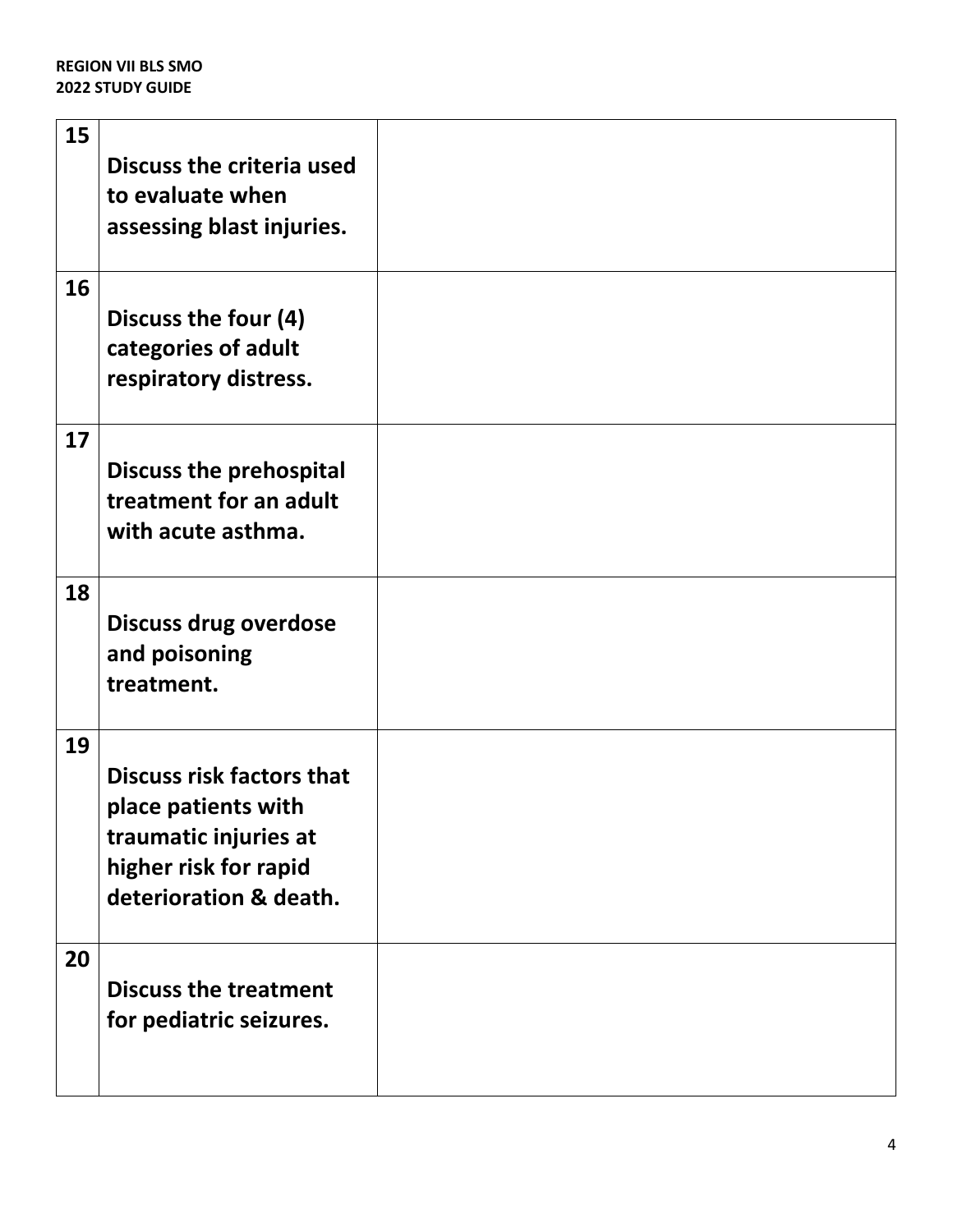| 15 | <b>Discuss the criteria used</b><br>to evaluate when<br>assessing blast injuries.                                                   |  |
|----|-------------------------------------------------------------------------------------------------------------------------------------|--|
| 16 | Discuss the four (4)<br>categories of adult<br>respiratory distress.                                                                |  |
| 17 | <b>Discuss the prehospital</b><br>treatment for an adult<br>with acute asthma.                                                      |  |
| 18 | <b>Discuss drug overdose</b><br>and poisoning<br>treatment.                                                                         |  |
| 19 | <b>Discuss risk factors that</b><br>place patients with<br>traumatic injuries at<br>higher risk for rapid<br>deterioration & death. |  |
| 20 | <b>Discuss the treatment</b><br>for pediatric seizures.                                                                             |  |